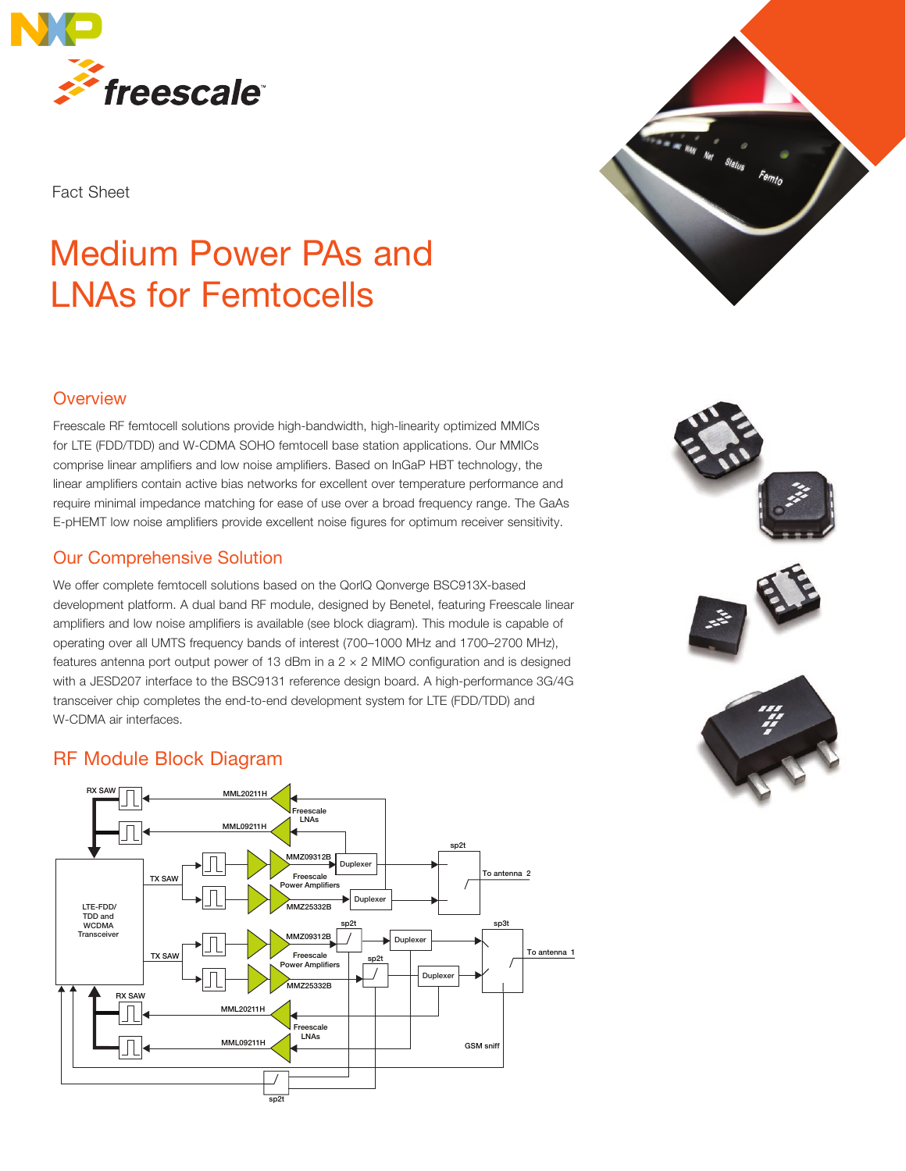

Fact Sheet

# Medium Power PAs and LNAs for Femtocells



Freescale RF femtocell solutions provide high-bandwidth, high-linearity optimized MMICs for LTE (FDD/TDD) and W-CDMA SOHO femtocell base station applications. Our MMICs comprise linear amplifiers and low noise amplifiers. Based on InGaP HBT technology, the linear amplifiers contain active bias networks for excellent over temperature performance and require minimal impedance matching for ease of use over a broad frequency range. The GaAs E-pHEMT low noise amplifiers provide excellent noise figures for optimum receiver sensitivity.

#### Our Comprehensive Solution

We offer complete femtocell solutions based on the QorlQ Qonverge BSC913X-based development platform. A dual band RF module, designed by Benetel, featuring Freescale linear amplifiers and low noise amplifiers is available (see block diagram). This module is capable of operating over all UMTS frequency bands of interest (700–1000 MHz and 1700–2700 MHz), features antenna port output power of 13 dBm in a  $2 \times 2$  MIMO configuration and is designed with a JESD207 interface to the BSC9131 reference design board. A high-performance 3G/4G transceiver chip completes the end-to-end development system for LTE (FDD/TDD) and W-CDMA air interfaces.

## RF Module Block Diagram